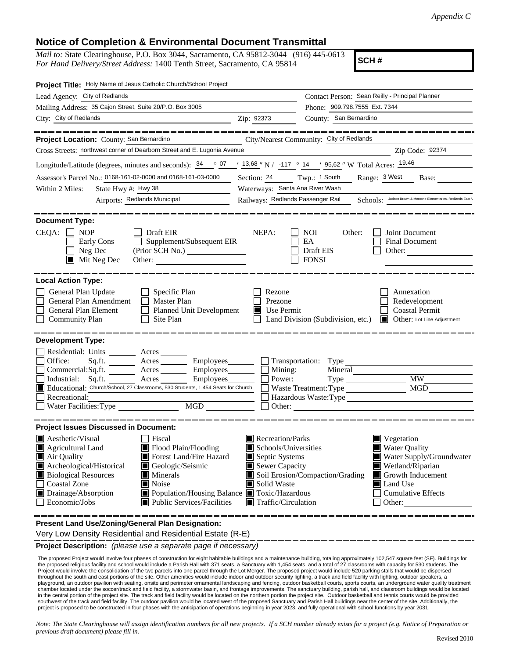## **Notice of Completion & Environmental Document Transmittal**

*Mail to:* State Clearinghouse, P.O. Box 3044, Sacramento, CA 95812-3044 (916) 445-0613 *For Hand Delivery/Street Address:* 1400 Tenth Street, Sacramento, CA 95814

**SCH #**

| Project Title: Holy Name of Jesus Catholic Church/School Project                                                                                                                                                                                                                                                                                                                                        |            |                                                                                                                                                                      |                               |                                                                                                                                                                    |  |
|---------------------------------------------------------------------------------------------------------------------------------------------------------------------------------------------------------------------------------------------------------------------------------------------------------------------------------------------------------------------------------------------------------|------------|----------------------------------------------------------------------------------------------------------------------------------------------------------------------|-------------------------------|--------------------------------------------------------------------------------------------------------------------------------------------------------------------|--|
| Lead Agency: City of Redlands                                                                                                                                                                                                                                                                                                                                                                           |            | Contact Person: Sean Reilly - Principal Planner                                                                                                                      |                               |                                                                                                                                                                    |  |
| Mailing Address: 35 Cajon Street, Suite 20/P.O. Box 3005                                                                                                                                                                                                                                                                                                                                                |            |                                                                                                                                                                      | Phone: 909.798.7555 Ext. 7344 |                                                                                                                                                                    |  |
| City: City of Redlands<br><u> 1989 - Johann Barn, fransk politik (d. 1989)</u>                                                                                                                                                                                                                                                                                                                          | Zip: 92373 |                                                                                                                                                                      | County: San Bernardino        |                                                                                                                                                                    |  |
|                                                                                                                                                                                                                                                                                                                                                                                                         |            |                                                                                                                                                                      |                               |                                                                                                                                                                    |  |
| Project Location: County: San Bernardino                                                                                                                                                                                                                                                                                                                                                                |            | City/Nearest Community: City of Redlands                                                                                                                             |                               |                                                                                                                                                                    |  |
| Cross Streets: northwest corner of Dearborn Street and E. Lugonia Avenue                                                                                                                                                                                                                                                                                                                                |            |                                                                                                                                                                      |                               | Zip Code: 92374                                                                                                                                                    |  |
| Longitude/Latitude (degrees, minutes and seconds): $\frac{34}{9}$ $\frac{07}{13,68}$ "N / $\frac{117}{9}$ 14 ' 95,62 " W Total Acres: $\frac{19.46}{19.46}$                                                                                                                                                                                                                                             |            |                                                                                                                                                                      |                               |                                                                                                                                                                    |  |
| Assessor's Parcel No.: 0168-161-02-0000 and 0168-161-03-0000                                                                                                                                                                                                                                                                                                                                            |            | Section: 24 Twp.: 1 South Range: 3 West                                                                                                                              |                               | Base:                                                                                                                                                              |  |
| Within 2 Miles:<br>State Hwy #: Hwy 38                                                                                                                                                                                                                                                                                                                                                                  |            | Waterways: Santa Ana River Wash                                                                                                                                      |                               |                                                                                                                                                                    |  |
| Airports: Redlands Municipal                                                                                                                                                                                                                                                                                                                                                                            |            |                                                                                                                                                                      |                               | Railways: Redlands Passenger Rail Schools: Judson Brown & Mentone Elementaries. Redlands East \                                                                    |  |
|                                                                                                                                                                                                                                                                                                                                                                                                         |            |                                                                                                                                                                      |                               |                                                                                                                                                                    |  |
| <b>Document Type:</b><br>$CEQA: \Box NOP$<br>Draft EIR<br>Supplement/Subsequent EIR<br>Early Cons<br>$\Box$ Neg Dec<br>$\blacksquare$ Mit Neg Dec<br>Other: $\qquad \qquad$                                                                                                                                                                                                                             | NEPA:      | <b>NOI</b><br>EA<br>Draft EIS<br><b>FONSI</b>                                                                                                                        | Other:                        | Joint Document<br>Final Document<br>Other:<br>_________                                                                                                            |  |
| <b>Local Action Type:</b><br>General Plan Update<br>Specific Plan<br>General Plan Amendment<br>Master Plan<br>$\mathbf{1}$<br>General Plan Element<br>Planned Unit Development<br><b>Community Plan</b><br>Site Plan                                                                                                                                                                                    | ĪΙ         | Rezone<br>Prezone<br>Use Permit<br>$\Box$ Land Division (Subdivision, etc.)                                                                                          |                               | Annexation<br>Redevelopment<br><b>Coastal Permit</b><br>Other: Lot Line Adjustment                                                                                 |  |
| <b>Development Type:</b>                                                                                                                                                                                                                                                                                                                                                                                |            |                                                                                                                                                                      |                               |                                                                                                                                                                    |  |
| Residential: Units ________ Acres _______<br>$Sq.ft.$ Acres $\qquad \qquad$ Employees $\qquad \qquad$ Transportation: Type<br>Office:<br>Commercial:Sq.ft. ________ Acres __________ Employees ________ $\Box$<br>Employees________<br>Industrial: Sq.ft.<br>Acres<br>Educational: Church/School, 27 Classrooms, 530 Students, 1,454 Seats for Church<br>Recreational:<br>MGD<br>Water Facilities: Type |            | Mining:<br>Power:<br>Waste Treatment: Type                                                                                                                           |                               | <b>MW</b><br>Hazardous Waste:Type<br>Other:                                                                                                                        |  |
| <b>Project Issues Discussed in Document:</b>                                                                                                                                                                                                                                                                                                                                                            |            |                                                                                                                                                                      |                               |                                                                                                                                                                    |  |
| Aesthetic/Visual<br>Fiscal<br>Flood Plain/Flooding<br>Agricultural Land<br>$\blacksquare$ Air Quality<br>Forest Land/Fire Hazard<br>Archeological/Historical<br>Geologic/Seismic<br><b>Biological Resources</b><br>$\blacksquare$ Minerals<br><b>Coastal Zone</b><br>Noise<br>■ Population/Housing Balance ■ Toxic/Hazardous<br>Drainage/Absorption<br>Economic/Jobs<br>Public Services/Facilities      |            | Recreation/Parks<br>Schools/Universities<br>Septic Systems<br>Sewer Capacity<br>Soil Erosion/Compaction/Grading<br>Solid Waste<br>$\blacksquare$ Traffic/Circulation |                               | $\blacksquare$ Vegetation<br>Water Quality<br>Water Supply/Groundwater<br>Wetland/Riparian<br>Growth Inducement<br>Land Use<br><b>Cumulative Effects</b><br>Other: |  |
| Present Land Use/Zoning/General Plan Designation:                                                                                                                                                                                                                                                                                                                                                       |            |                                                                                                                                                                      |                               |                                                                                                                                                                    |  |

Very Low Density Residential and Residential Estate (R-E)

**Project Description:** *(please use a separate page if necessary)*

 The proposed Project would involve four phases of construction for eight habitable buildings and a maintenance building, totaling approximately 102,547 square feet (SF). Buildings for the proposed religious facility and school would include a Parish Hall with 371 seats, a Sanctuary with 1,454 seats, and a total of 27 classrooms with capacity for 530 students. The Project would involve the consolidation of the two parcels into one parcel through the Lot Merger. The proposed project would include 520 parking stalls that would be dispersed throughout the south and east portions of the site. Other amenities would include indoor and outdoor security lighting, a track and field facility with lighting, outdoor speakers, a playground, an outdoor pavilion with seating, onsite and perimeter ornamental landscaping and fencing, outdoor basketball courts, sports courts, an underground water quality treatment<br>chamber located under the soccer/track in the central portion of the project site. The track and field facility would be located on the northern portion the project site. Outdoor basketball and tennis courts would be provided southwest of the track and field facility. The outdoor pavilion would be located west of the proposed Sanctuary and Parish Hall buildings near the center of the site. Additionally, the project is proposed to be constructed in four phases with the anticipation of operations beginning in year 2023, and fully operational with school functions by year 2031.

*Note: The State Clearinghouse will assign identification numbers for all new projects. If a SCH number already exists for a project (e.g. Notice of Preparation or previous draft document) please fill in.*